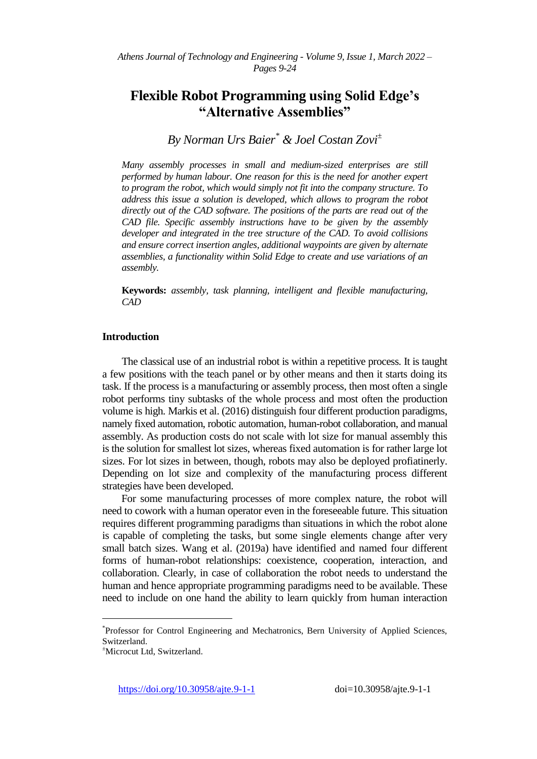# **Flexible Robot Programming using Solid Edge's "Alternative Assemblies"**

*By Norman Urs Baier\* & Joel Costan Zovi<sup>±</sup>*

*Many assembly processes in small and medium-sized enterprises are still performed by human labour. One reason for this is the need for another expert to program the robot, which would simply not fit into the company structure. To address this issue a solution is developed, which allows to program the robot directly out of the CAD software. The positions of the parts are read out of the CAD file. Specific assembly instructions have to be given by the assembly developer and integrated in the tree structure of the CAD. To avoid collisions and ensure correct insertion angles, additional waypoints are given by alternate assemblies, a functionality within Solid Edge to create and use variations of an assembly.*

**Keywords:** *assembly, task planning, intelligent and flexible manufacturing, CAD*

# **Introduction**

The classical use of an industrial robot is within a repetitive process. It is taught a few positions with the teach panel or by other means and then it starts doing its task. If the process is a manufacturing or assembly process, then most often a single robot performs tiny subtasks of the whole process and most often the production volume is high. Markis et al. (2016) distinguish four different production paradigms, namely fixed automation, robotic automation, human-robot collaboration, and manual assembly. As production costs do not scale with lot size for manual assembly this is the solution for smallest lot sizes, whereas fixed automation is for rather large lot sizes. For lot sizes in between, though, robots may also be deployed profiatinerly. Depending on lot size and complexity of the manufacturing process different strategies have been developed.

For some manufacturing processes of more complex nature, the robot will need to cowork with a human operator even in the foreseeable future. This situation requires different programming paradigms than situations in which the robot alone is capable of completing the tasks, but some single elements change after very small batch sizes. Wang et al. (2019a) have identified and named four different forms of human-robot relationships: coexistence, cooperation, interaction, and collaboration. Clearly, in case of collaboration the robot needs to understand the human and hence appropriate programming paradigms need to be available. These need to include on one hand the ability to learn quickly from human interaction

 $\overline{a}$ 

<sup>\*</sup> Professor for Control Engineering and Mechatronics, Bern University of Applied Sciences, Switzerland.

<sup>±</sup>Microcut Ltd, Switzerland.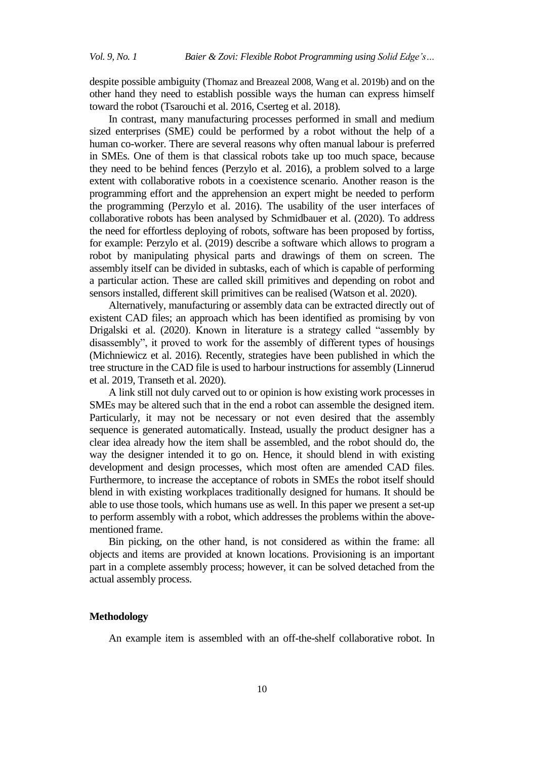despite possible ambiguity (Thomaz and Breazeal 2008, Wang et al. 2019b) and on the other hand they need to establish possible ways the human can express himself toward the robot (Tsarouchi et al. 2016, Cserteg et al. 2018).

In contrast, many manufacturing processes performed in small and medium sized enterprises (SME) could be performed by a robot without the help of a human co-worker. There are several reasons why often manual labour is preferred in SMEs. One of them is that classical robots take up too much space, because they need to be behind fences (Perzylo et al. 2016), a problem solved to a large extent with collaborative robots in a coexistence scenario. Another reason is the programming effort and the apprehension an expert might be needed to perform the programming (Perzylo et al. 2016). The usability of the user interfaces of collaborative robots has been analysed by Schmidbauer et al. (2020). To address the need for effortless deploying of robots, software has been proposed by fortiss, for example: Perzylo et al. (2019) describe a software which allows to program a robot by manipulating physical parts and drawings of them on screen. The assembly itself can be divided in subtasks, each of which is capable of performing a particular action. These are called skill primitives and depending on robot and sensors installed, different skill primitives can be realised (Watson et al. 2020).

Alternatively, manufacturing or assembly data can be extracted directly out of existent CAD files; an approach which has been identified as promising by von Drigalski et al. (2020). Known in literature is a strategy called "assembly by disassembly", it proved to work for the assembly of different types of housings (Michniewicz et al. 2016). Recently, strategies have been published in which the tree structure in the CAD file is used to harbour instructions for assembly (Linnerud et al. 2019, Transeth et al. 2020).

A link still not duly carved out to or opinion is how existing work processes in SMEs may be altered such that in the end a robot can assemble the designed item. Particularly, it may not be necessary or not even desired that the assembly sequence is generated automatically. Instead, usually the product designer has a clear idea already how the item shall be assembled, and the robot should do, the way the designer intended it to go on. Hence, it should blend in with existing development and design processes, which most often are amended CAD files. Furthermore, to increase the acceptance of robots in SMEs the robot itself should blend in with existing workplaces traditionally designed for humans. It should be able to use those tools, which humans use as well. In this paper we present a set-up to perform assembly with a robot, which addresses the problems within the abovementioned frame.

Bin picking, on the other hand, is not considered as within the frame: all objects and items are provided at known locations. Provisioning is an important part in a complete assembly process; however, it can be solved detached from the actual assembly process.

## **Methodology**

An example item is assembled with an off-the-shelf collaborative robot. In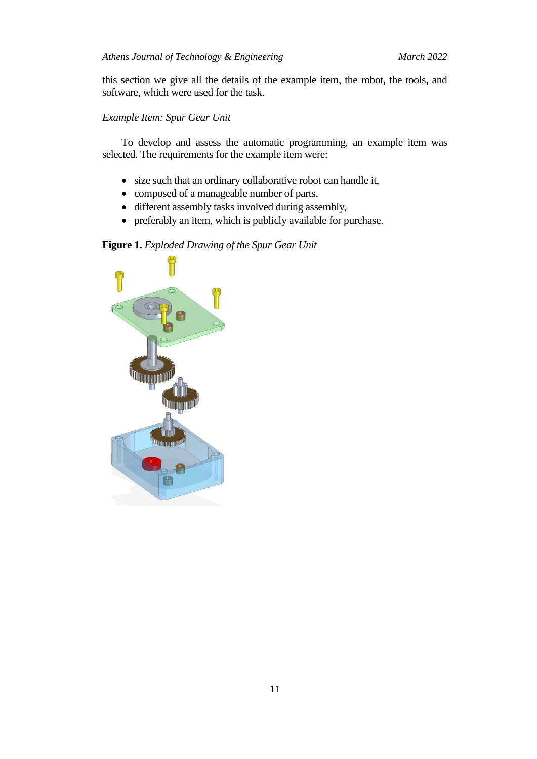this section we give all the details of the example item, the robot, the tools, and software, which were used for the task.

# *Example Item: Spur Gear Unit*

To develop and assess the automatic programming, an example item was selected. The requirements for the example item were:

- size such that an ordinary collaborative robot can handle it,
- composed of a manageable number of parts,
- different assembly tasks involved during assembly,
- preferably an item, which is publicly available for purchase.

# **Figure 1.** *Exploded Drawing of the Spur Gear Unit*

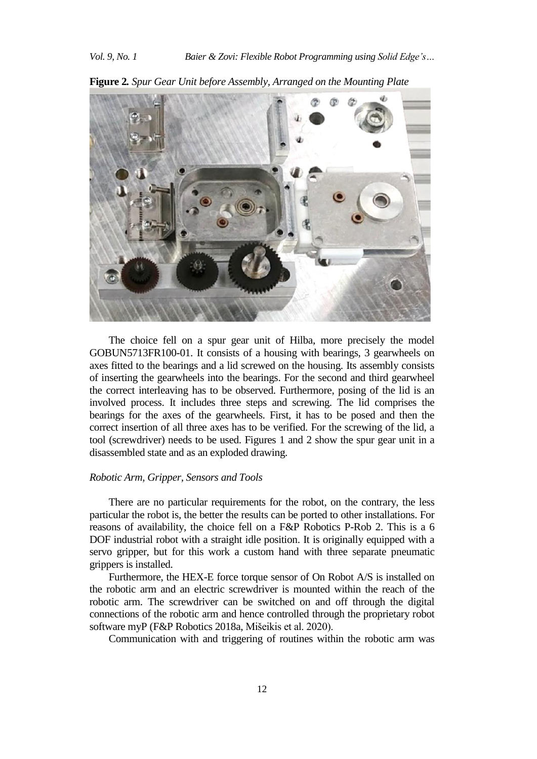

**Figure 2***. Spur Gear Unit before Assembly, Arranged on the Mounting Plate*

The choice fell on a spur gear unit of Hilba, more precisely the model GOBUN5713FR100-01. It consists of a housing with bearings, 3 gearwheels on axes fitted to the bearings and a lid screwed on the housing. Its assembly consists of inserting the gearwheels into the bearings. For the second and third gearwheel the correct interleaving has to be observed. Furthermore, posing of the lid is an involved process. It includes three steps and screwing. The lid comprises the bearings for the axes of the gearwheels. First, it has to be posed and then the correct insertion of all three axes has to be verified. For the screwing of the lid, a tool (screwdriver) needs to be used. Figures 1 and 2 show the spur gear unit in a disassembled state and as an exploded drawing.

#### *Robotic Arm, Gripper, Sensors and Tools*

There are no particular requirements for the robot, on the contrary, the less particular the robot is, the better the results can be ported to other installations. For reasons of availability, the choice fell on a F&P Robotics P-Rob 2. This is a 6 DOF industrial robot with a straight idle position. It is originally equipped with a servo gripper, but for this work a custom hand with three separate pneumatic grippers is installed.

Furthermore, the HEX-E force torque sensor of On Robot A/S is installed on the robotic arm and an electric screwdriver is mounted within the reach of the robotic arm. The screwdriver can be switched on and off through the digital connections of the robotic arm and hence controlled through the proprietary robot software myP (F&P Robotics 2018a, Mišeikis et al. 2020).

Communication with and triggering of routines within the robotic arm was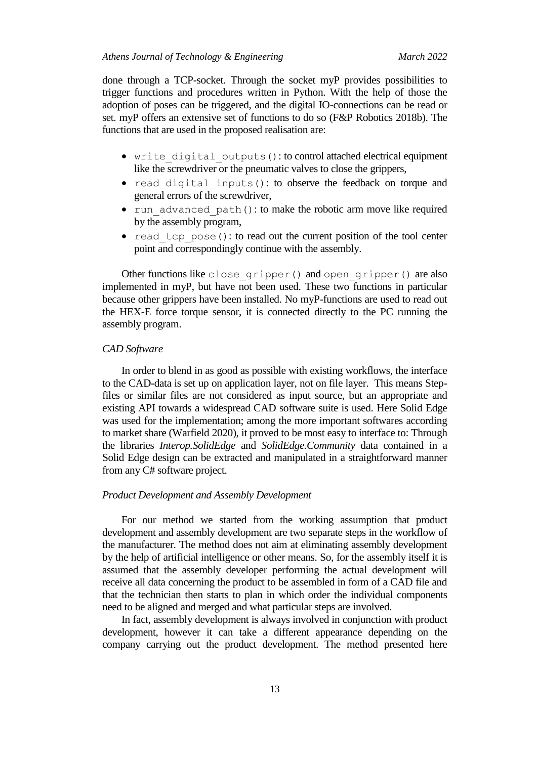done through a TCP-socket. Through the socket myP provides possibilities to trigger functions and procedures written in Python. With the help of those the adoption of poses can be triggered, and the digital IO-connections can be read or set. myP offers an extensive set of functions to do so (F&P Robotics 2018b). The functions that are used in the proposed realisation are:

- write digital outputs(): to control attached electrical equipment like the screwdriver or the pneumatic valves to close the grippers,
- read digital inputs(): to observe the feedback on torque and general errors of the screwdriver,
- run advanced path(): to make the robotic arm move like required by the assembly program,
- read tcp  $pose()$ : to read out the current position of the tool center point and correspondingly continue with the assembly.

Other functions like close gripper() and open gripper() are also implemented in myP, but have not been used. These two functions in particular because other grippers have been installed. No myP-functions are used to read out the HEX-E force torque sensor, it is connected directly to the PC running the assembly program.

## *CAD Software*

In order to blend in as good as possible with existing workflows, the interface to the CAD-data is set up on application layer, not on file layer. This means Stepfiles or similar files are not considered as input source, but an appropriate and existing API towards a widespread CAD software suite is used. Here Solid Edge was used for the implementation; among the more important softwares according to market share (Warfield 2020), it proved to be most easy to interface to: Through the libraries *Interop.SolidEdge* and *SolidEdge.Community* data contained in a Solid Edge design can be extracted and manipulated in a straightforward manner from any C# software project.

#### *Product Development and Assembly Development*

For our method we started from the working assumption that product development and assembly development are two separate steps in the workflow of the manufacturer. The method does not aim at eliminating assembly development by the help of artificial intelligence or other means. So, for the assembly itself it is assumed that the assembly developer performing the actual development will receive all data concerning the product to be assembled in form of a CAD file and that the technician then starts to plan in which order the individual components need to be aligned and merged and what particular steps are involved.

In fact, assembly development is always involved in conjunction with product development, however it can take a different appearance depending on the company carrying out the product development. The method presented here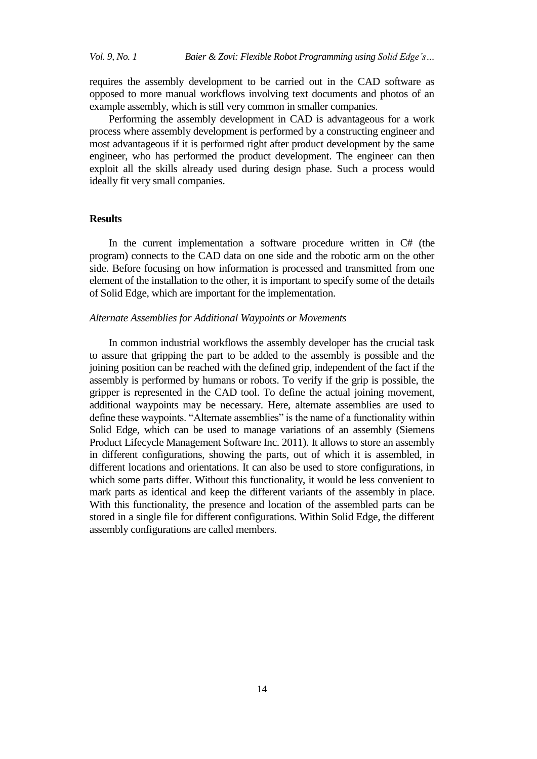requires the assembly development to be carried out in the CAD software as opposed to more manual workflows involving text documents and photos of an example assembly, which is still very common in smaller companies.

Performing the assembly development in CAD is advantageous for a work process where assembly development is performed by a constructing engineer and most advantageous if it is performed right after product development by the same engineer, who has performed the product development. The engineer can then exploit all the skills already used during design phase. Such a process would ideally fit very small companies.

# **Results**

In the current implementation a software procedure written in C# (the program) connects to the CAD data on one side and the robotic arm on the other side. Before focusing on how information is processed and transmitted from one element of the installation to the other, it is important to specify some of the details of Solid Edge, which are important for the implementation.

#### *Alternate Assemblies for Additional Waypoints or Movements*

In common industrial workflows the assembly developer has the crucial task to assure that gripping the part to be added to the assembly is possible and the joining position can be reached with the defined grip, independent of the fact if the assembly is performed by humans or robots. To verify if the grip is possible, the gripper is represented in the CAD tool. To define the actual joining movement, additional waypoints may be necessary. Here, alternate assemblies are used to define these waypoints. "Alternate assemblies" is the name of a functionality within Solid Edge, which can be used to manage variations of an assembly (Siemens Product Lifecycle Management Software Inc. 2011). It allows to store an assembly in different configurations, showing the parts, out of which it is assembled, in different locations and orientations. It can also be used to store configurations, in which some parts differ. Without this functionality, it would be less convenient to mark parts as identical and keep the different variants of the assembly in place. With this functionality, the presence and location of the assembled parts can be stored in a single file for different configurations. Within Solid Edge, the different assembly configurations are called members.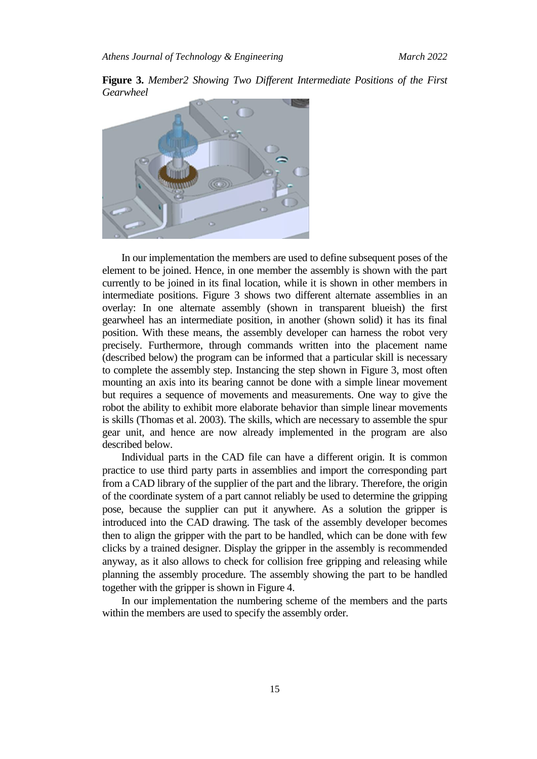**Figure 3.** *Member2 Showing Two Different Intermediate Positions of the First Gearwheel*



In our implementation the members are used to define subsequent poses of the element to be joined. Hence, in one member the assembly is shown with the part currently to be joined in its final location, while it is shown in other members in intermediate positions. Figure 3 shows two different alternate assemblies in an overlay: In one alternate assembly (shown in transparent blueish) the first gearwheel has an intermediate position, in another (shown solid) it has its final position. With these means, the assembly developer can harness the robot very precisely. Furthermore, through commands written into the placement name (described below) the program can be informed that a particular skill is necessary to complete the assembly step. Instancing the step shown in Figure 3, most often mounting an axis into its bearing cannot be done with a simple linear movement but requires a sequence of movements and measurements. One way to give the robot the ability to exhibit more elaborate behavior than simple linear movements is skills (Thomas et al. 2003). The skills, which are necessary to assemble the spur gear unit, and hence are now already implemented in the program are also described below.

Individual parts in the CAD file can have a different origin. It is common practice to use third party parts in assemblies and import the corresponding part from a CAD library of the supplier of the part and the library. Therefore, the origin of the coordinate system of a part cannot reliably be used to determine the gripping pose, because the supplier can put it anywhere. As a solution the gripper is introduced into the CAD drawing. The task of the assembly developer becomes then to align the gripper with the part to be handled, which can be done with few clicks by a trained designer. Display the gripper in the assembly is recommended anyway, as it also allows to check for collision free gripping and releasing while planning the assembly procedure. The assembly showing the part to be handled together with the gripper is shown in Figure 4.

In our implementation the numbering scheme of the members and the parts within the members are used to specify the assembly order.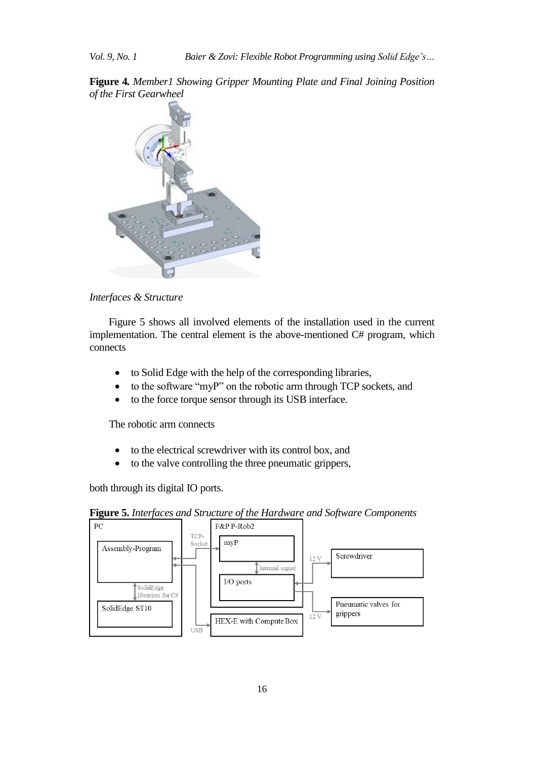**Figure 4***. Member1 Showing Gripper Mounting Plate and Final Joining Position of the First Gearwheel*



*Interfaces & Structure*

[Figure](#page-7-0) 5 shows all involved elements of the installation used in the current implementation. The central element is the above-mentioned C# program, which connects

- to Solid Edge with the help of the corresponding libraries,
- to the software "myP" on the robotic arm through TCP sockets, and
- to the force torque sensor through its USB interface.

The robotic arm connects

- to the electrical screwdriver with its control box, and
- to the valve controlling the three pneumatic grippers,

<span id="page-7-0"></span>both through its digital IO ports.



**Figure 5.** *Interfaces and Structure of the Hardware and Software Components*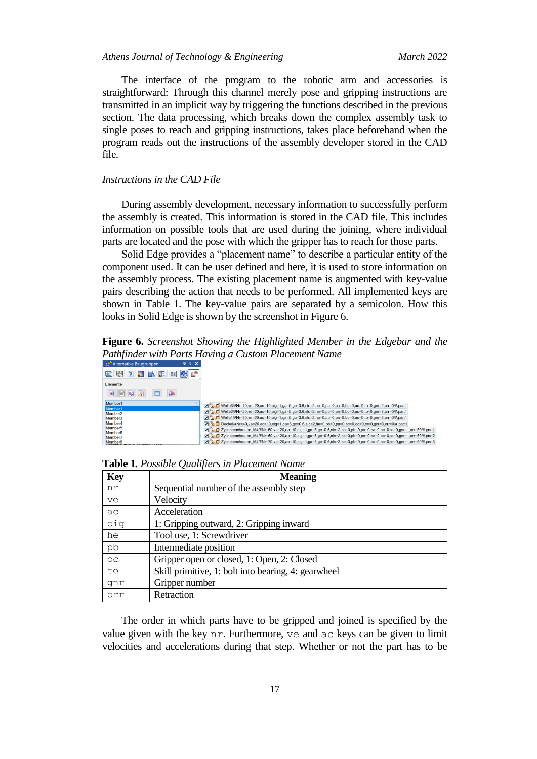The interface of the program to the robotic arm and accessories is straightforward: Through this channel merely pose and gripping instructions are transmitted in an implicit way by triggering the functions described in the previous section. The data processing, which breaks down the complex assembly task to single poses to reach and gripping instructions, takes place beforehand when the program reads out the instructions of the assembly developer stored in the CAD file.

#### *Instructions in the CAD File*

During assembly development, necessary information to successfully perform the assembly is created. This information is stored in the CAD file. This includes information on possible tools that are used during the joining, where individual parts are located and the pose with which the gripper has to reach for those parts.

Solid Edge provides a "placement name" to describe a particular entity of the component used. It can be user defined and here, it is used to store information on the assembly process. The existing placement name is augmented with key-value pairs describing the action that needs to be performed. All implemented keys are shown in Table 1. The key-value pairs are separated by a semicolon. How this looks in Solid Edge is shown by the screenshot in [Figure 6.](#page-8-0)

<span id="page-8-0"></span>**Figure 6.** *Screenshot Showing the Highlighted Member in the Edgebar and the Pathfinder with Parts Having a Custom Placement Name*

| 図 尽 [2 ] ■ ■ ■ 83 2 1 1 1 1 1 1 1 2 1 2 1 1 1 1 1 1 1 2 1 2 1 1 1 1 1 1 1 2 1 2 1 1 1 1 1 1 1 1 1 1 1 1 1 1 1 1<br>Elemente |
|-----------------------------------------------------------------------------------------------------------------------------|
|                                                                                                                             |
|                                                                                                                             |
| <b>B B B</b><br>廈                                                                                                           |
| Member1                                                                                                                     |
| Member1                                                                                                                     |
| Member <sub>2</sub>                                                                                                         |
| Member <sub>3</sub>                                                                                                         |
| Member <sub>4</sub>                                                                                                         |
| Member <sub>5</sub>                                                                                                         |
| Member <sub>6</sub><br>Member <sub>7</sub>                                                                                  |
| Member <sub>8</sub>                                                                                                         |

| <b>Key</b> | <b>Meaning</b>                                      |
|------------|-----------------------------------------------------|
| nr         | Sequential number of the assembly step              |
| ve         | Velocity                                            |
| ac         | Acceleration                                        |
| oig        | 1: Gripping outward, 2: Gripping inward             |
| he         | Tool use, 1: Screwdriver                            |
| pb         | Intermediate position                               |
| OC         | Gripper open or closed, 1: Open, 2: Closed          |
| to         | Skill primitive, 1: bolt into bearing, 4: gearwheel |
| qnr        | Gripper number                                      |
| orr        | Retraction                                          |

**Table 1***. Possible Qualifiers in Placement Name*

The order in which parts have to be gripped and joined is specified by the value given with the key  $n r$ . Furthermore,  $\nu e$  and  $a c$  keys can be given to limit velocities and accelerations during that step. Whether or not the part has to be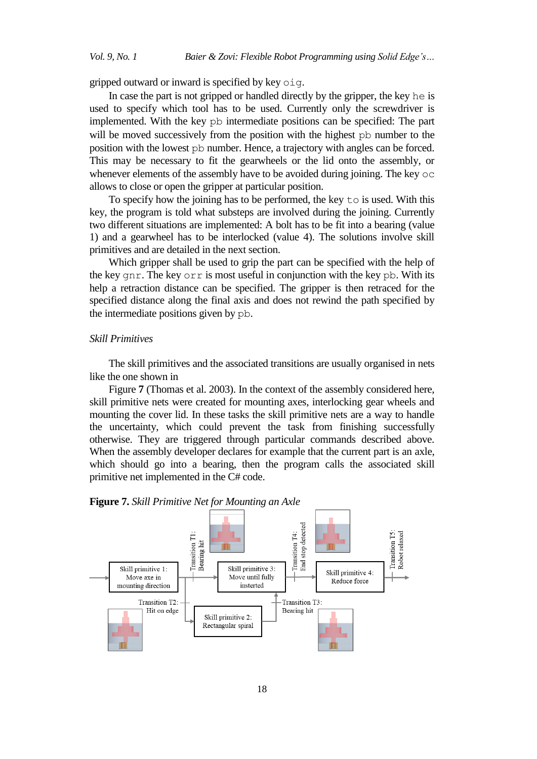gripped outward or inward is specified by key oig.

In case the part is not gripped or handled directly by the gripper, the key he is used to specify which tool has to be used. Currently only the screwdriver is implemented. With the key pb intermediate positions can be specified: The part will be moved successively from the position with the highest pb number to the position with the lowest pb number. Hence, a trajectory with angles can be forced. This may be necessary to fit the gearwheels or the lid onto the assembly, or whenever elements of the assembly have to be avoided during joining. The key  $\circ$ c allows to close or open the gripper at particular position.

To specify how the joining has to be performed, the key to is used. With this key, the program is told what substeps are involved during the joining. Currently two different situations are implemented: A bolt has to be fit into a bearing (value 1) and a gearwheel has to be interlocked (value 4). The solutions involve skill primitives and are detailed in the next section.

Which gripper shall be used to grip the part can be specified with the help of the key gnr. The key orr is most useful in conjunction with the key pb. With its help a retraction distance can be specified. The gripper is then retraced for the specified distance along the final axis and does not rewind the path specified by the intermediate positions given by pb.

#### *Skill Primitives*

The skill primitives and the associated transitions are usually organised in nets like the one shown in

[Figure](#page-9-0) **7** (Thomas et al. 2003). In the context of the assembly considered here, skill primitive nets were created for mounting axes, interlocking gear wheels and mounting the cover lid. In these tasks the skill primitive nets are a way to handle the uncertainty, which could prevent the task from finishing successfully otherwise. They are triggered through particular commands described above. When the assembly developer declares for example that the current part is an axle, which should go into a bearing, then the program calls the associated skill primitive net implemented in the C# code.

<span id="page-9-0"></span>

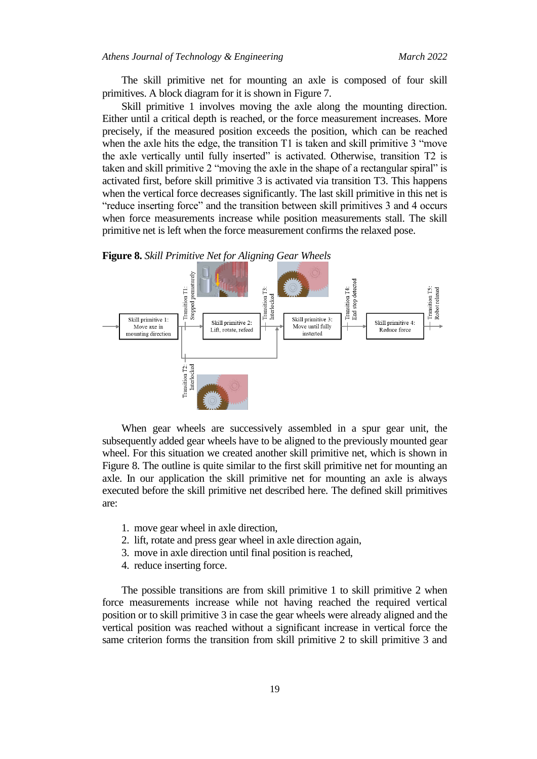The skill primitive net for mounting an axle is composed of four skill primitives. A block diagram for it is shown in Figure 7.

Skill primitive 1 involves moving the axle along the mounting direction. Either until a critical depth is reached, or the force measurement increases. More precisely, if the measured position exceeds the position, which can be reached when the axle hits the edge, the transition T1 is taken and skill primitive 3 "move" the axle vertically until fully inserted" is activated. Otherwise, transition T2 is taken and skill primitive 2 "moving the axle in the shape of a rectangular spiral" is activated first, before skill primitive 3 is activated via transition T3. This happens when the vertical force decreases significantly. The last skill primitive in this net is "reduce inserting force" and the transition between skill primitives 3 and 4 occurs when force measurements increase while position measurements stall. The skill primitive net is left when the force measurement confirms the relaxed pose.

<span id="page-10-0"></span>**Figure 8.** *Skill Primitive Net for Aligning Gear Wheels*



When gear wheels are successively assembled in a spur gear unit, the subsequently added gear wheels have to be aligned to the previously mounted gear wheel. For this situation we created another skill primitive net, which is shown in [Figure 8.](#page-10-0) The outline is quite similar to the first skill primitive net for mounting an axle. In our application the skill primitive net for mounting an axle is always executed before the skill primitive net described here. The defined skill primitives are:

- 1. move gear wheel in axle direction,
- 2. lift, rotate and press gear wheel in axle direction again,
- 3. move in axle direction until final position is reached,
- 4. reduce inserting force.

The possible transitions are from skill primitive 1 to skill primitive 2 when force measurements increase while not having reached the required vertical position or to skill primitive 3 in case the gear wheels were already aligned and the vertical position was reached without a significant increase in vertical force the same criterion forms the transition from skill primitive 2 to skill primitive 3 and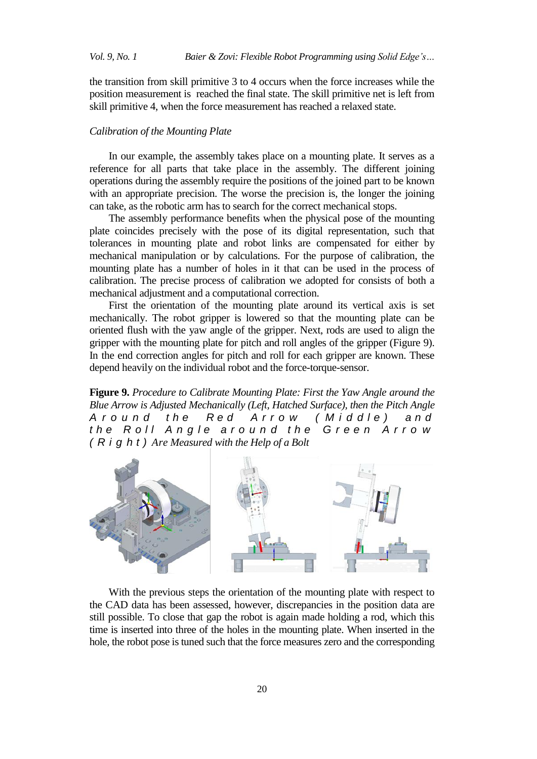the transition from skill primitive 3 to 4 occurs when the force increases while the position measurement is reached the final state. The skill primitive net is left from skill primitive 4, when the force measurement has reached a relaxed state.

## *Calibration of the Mounting Plate*

In our example, the assembly takes place on a mounting plate. It serves as a reference for all parts that take place in the assembly. The different joining operations during the assembly require the positions of the joined part to be known with an appropriate precision. The worse the precision is, the longer the joining can take, as the robotic arm has to search for the correct mechanical stops.

The assembly performance benefits when the physical pose of the mounting plate coincides precisely with the pose of its digital representation, such that tolerances in mounting plate and robot links are compensated for either by mechanical manipulation or by calculations. For the purpose of calibration, the mounting plate has a number of holes in it that can be used in the process of calibration. The precise process of calibration we adopted for consists of both a mechanical adjustment and a computational correction.

First the orientation of the mounting plate around its vertical axis is set mechanically. The robot gripper is lowered so that the mounting plate can be oriented flush with the yaw angle of the gripper. Next, rods are used to align the gripper with the mounting plate for pitch and roll angles of the gripper [\(Figure](#page-11-0) 9). In the end correction angles for pitch and roll for each gripper are known. These depend heavily on the individual robot and the force-torque-sensor.

<span id="page-11-0"></span>**Figure 9.** *Procedure to Calibrate Mounting Plate: First the Yaw Angle around the Blue Arrow is Adjusted Mechanically (Left, Hatched Surface), then the Pitch Angle A r o u n d t h e R e d A r r o w ( M i d d l e ) a n d the Roll Angle around the Green Arrow ( R i g h t ) Are Measured with the Help of a Bolt*



With the previous steps the orientation of the mounting plate with respect to the CAD data has been assessed, however, discrepancies in the position data are still possible. To close that gap the robot is again made holding a rod, which this time is inserted into three of the holes in the mounting plate. When inserted in the hole, the robot pose is tuned such that the force measures zero and the corresponding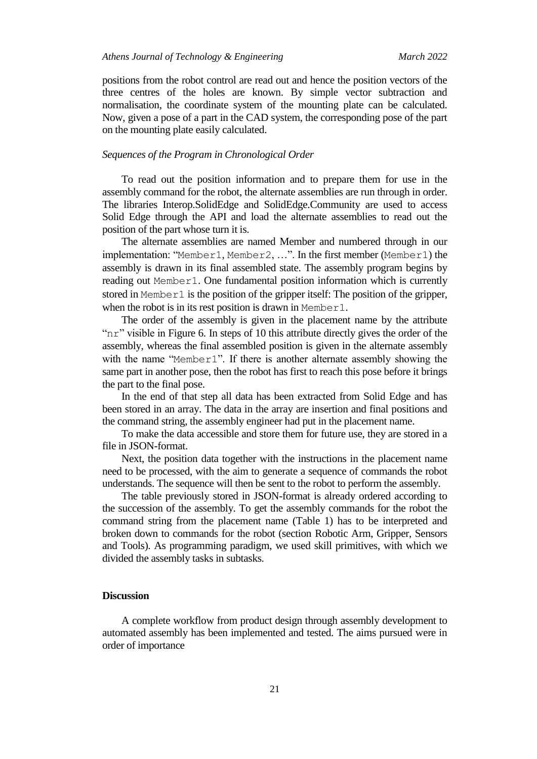positions from the robot control are read out and hence the position vectors of the three centres of the holes are known. By simple vector subtraction and normalisation, the coordinate system of the mounting plate can be calculated. Now, given a pose of a part in the CAD system, the corresponding pose of the part on the mounting plate easily calculated.

# *Sequences of the Program in Chronological Order*

To read out the position information and to prepare them for use in the assembly command for the robot, the alternate assemblies are run through in order. The libraries Interop.SolidEdge and SolidEdge.Community are used to access Solid Edge through the API and load the alternate assemblies to read out the position of the part whose turn it is.

The alternate assemblies are named Member and numbered through in our implementation: "Member1, Member2, ...". In the first member (Member1) the assembly is drawn in its final assembled state. The assembly program begins by reading out Member1. One fundamental position information which is currently stored in Member1 is the position of the gripper itself: The position of the gripper, when the robot is in its rest position is drawn in Member1.

The order of the assembly is given in the placement name by the attribute "nr" visible in [Figure 6.](#page-8-0) In steps of 10 this attribute directly gives the order of the assembly, whereas the final assembled position is given in the alternate assembly with the name "Member1". If there is another alternate assembly showing the same part in another pose, then the robot has first to reach this pose before it brings the part to the final pose.

In the end of that step all data has been extracted from Solid Edge and has been stored in an array. The data in the array are insertion and final positions and the command string, the assembly engineer had put in the placement name.

To make the data accessible and store them for future use, they are stored in a file in JSON-format.

Next, the position data together with the instructions in the placement name need to be processed, with the aim to generate a sequence of commands the robot understands. The sequence will then be sent to the robot to perform the assembly.

The table previously stored in JSON-format is already ordered according to the succession of the assembly. To get the assembly commands for the robot the command string from the placement name (Table 1) has to be interpreted and broken down to commands for the robot (section Robotic Arm, Gripper, Sensors and Tools). As programming paradigm, we used skill primitives, with which we divided the assembly tasks in subtasks.

# **Discussion**

A complete workflow from product design through assembly development to automated assembly has been implemented and tested. The aims pursued were in order of importance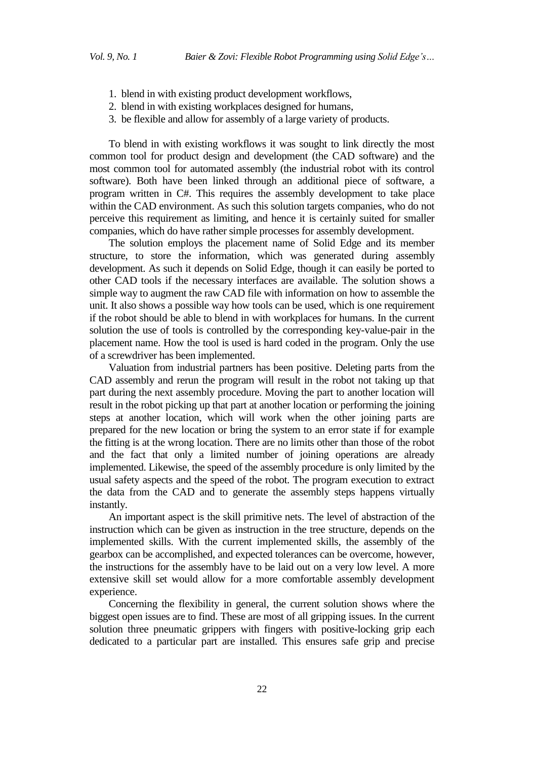- 1. blend in with existing product development workflows,
- 2. blend in with existing workplaces designed for humans,
- 3. be flexible and allow for assembly of a large variety of products.

To blend in with existing workflows it was sought to link directly the most common tool for product design and development (the CAD software) and the most common tool for automated assembly (the industrial robot with its control software). Both have been linked through an additional piece of software, a program written in C#. This requires the assembly development to take place within the CAD environment. As such this solution targets companies, who do not perceive this requirement as limiting, and hence it is certainly suited for smaller companies, which do have rather simple processes for assembly development.

The solution employs the placement name of Solid Edge and its member structure, to store the information, which was generated during assembly development. As such it depends on Solid Edge, though it can easily be ported to other CAD tools if the necessary interfaces are available. The solution shows a simple way to augment the raw CAD file with information on how to assemble the unit. It also shows a possible way how tools can be used, which is one requirement if the robot should be able to blend in with workplaces for humans. In the current solution the use of tools is controlled by the corresponding key-value-pair in the placement name. How the tool is used is hard coded in the program. Only the use of a screwdriver has been implemented.

Valuation from industrial partners has been positive. Deleting parts from the CAD assembly and rerun the program will result in the robot not taking up that part during the next assembly procedure. Moving the part to another location will result in the robot picking up that part at another location or performing the joining steps at another location, which will work when the other joining parts are prepared for the new location or bring the system to an error state if for example the fitting is at the wrong location. There are no limits other than those of the robot and the fact that only a limited number of joining operations are already implemented. Likewise, the speed of the assembly procedure is only limited by the usual safety aspects and the speed of the robot. The program execution to extract the data from the CAD and to generate the assembly steps happens virtually instantly.

An important aspect is the skill primitive nets. The level of abstraction of the instruction which can be given as instruction in the tree structure, depends on the implemented skills. With the current implemented skills, the assembly of the gearbox can be accomplished, and expected tolerances can be overcome, however, the instructions for the assembly have to be laid out on a very low level. A more extensive skill set would allow for a more comfortable assembly development experience.

Concerning the flexibility in general, the current solution shows where the biggest open issues are to find. These are most of all gripping issues. In the current solution three pneumatic grippers with fingers with positive-locking grip each dedicated to a particular part are installed. This ensures safe grip and precise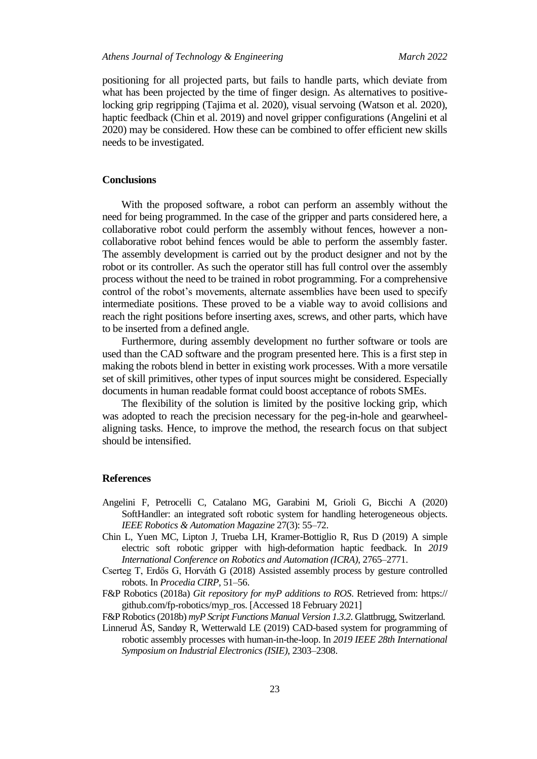positioning for all projected parts, but fails to handle parts, which deviate from what has been projected by the time of finger design. As alternatives to positivelocking grip regripping (Tajima et al. 2020), visual servoing (Watson et al. 2020), haptic feedback (Chin et al. 2019) and novel gripper configurations (Angelini et al 2020) may be considered. How these can be combined to offer efficient new skills needs to be investigated.

#### **Conclusions**

With the proposed software, a robot can perform an assembly without the need for being programmed. In the case of the gripper and parts considered here, a collaborative robot could perform the assembly without fences, however a noncollaborative robot behind fences would be able to perform the assembly faster. The assembly development is carried out by the product designer and not by the robot or its controller. As such the operator still has full control over the assembly process without the need to be trained in robot programming. For a comprehensive control of the robot's movements, alternate assemblies have been used to specify intermediate positions. These proved to be a viable way to avoid collisions and reach the right positions before inserting axes, screws, and other parts, which have to be inserted from a defined angle.

Furthermore, during assembly development no further software or tools are used than the CAD software and the program presented here. This is a first step in making the robots blend in better in existing work processes. With a more versatile set of skill primitives, other types of input sources might be considered. Especially documents in human readable format could boost acceptance of robots SMEs.

The flexibility of the solution is limited by the positive locking grip, which was adopted to reach the precision necessary for the peg-in-hole and gearwheelaligning tasks. Hence, to improve the method, the research focus on that subject should be intensified.

# **References**

- Angelini F, Petrocelli C, Catalano MG, Garabini M, Grioli G, Bicchi A (2020) SoftHandler: an integrated soft robotic system for handling heterogeneous objects. *IEEE Robotics & Automation Magazine* 27(3): 55–72.
- Chin L, Yuen MC, Lipton J, Trueba LH, Kramer-Bottiglio R, Rus D (2019) A simple electric soft robotic gripper with high-deformation haptic feedback. In *2019 International Conference on Robotics and Automation (ICRA)*, 2765–2771.
- Cserteg T, Erdős G, Horváth G (2018) Assisted assembly process by gesture controlled robots. In *Procedia CIRP*, 51–56.
- F&P Robotics (2018a) *Git repository for myP additions to ROS*. Retrieved from: https:// github.com/fp-robotics/myp\_ros. [Accessed 18 February 2021]
- F&P Robotics(2018b) *myP Script Functions Manual Version 1.3.2*. Glattbrugg, Switzerland.
- Linnerud ÅS, Sandøy R, Wetterwald LE (2019) CAD-based system for programming of robotic assembly processes with human-in-the-loop. In *2019 IEEE 28th International Symposium on Industrial Electronics (ISIE)*, 2303–2308.